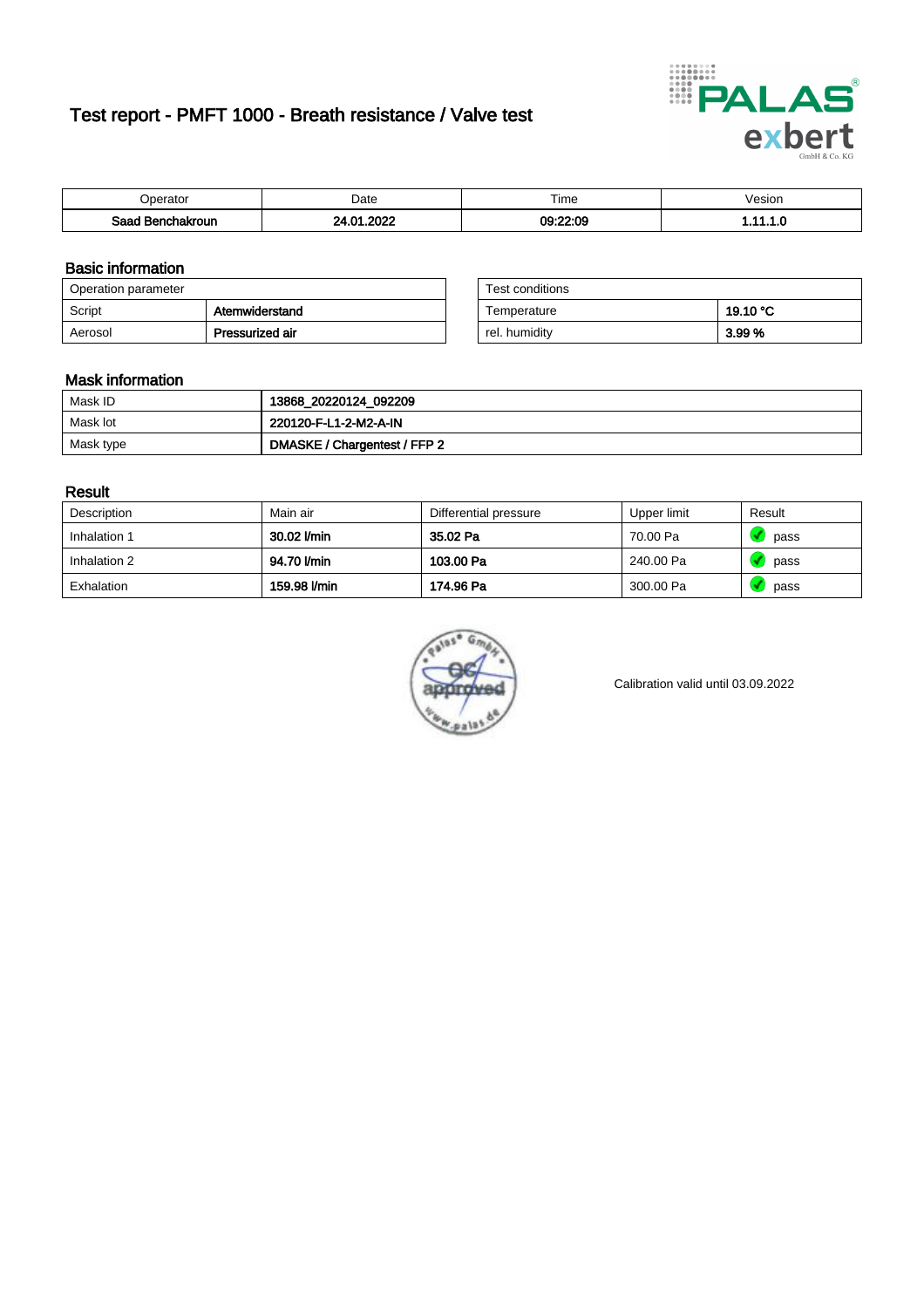# Test report - PMFT 1000 - Breath resistance / Valve test



| berator                 | Date        | $- \cdot$<br>ime | esion |
|-------------------------|-------------|------------------|-------|
| Saad<br><b>chakroun</b> | oooo<br>-04 | 09:22:09         | .     |

### Basic information

| Operation parameter |                 | Test conditions |          |
|---------------------|-----------------|-----------------|----------|
| Script              | Atemwiderstand  | Temperature     | 19.10 °C |
| Aerosol             | Pressurized air | rel. humidity   | 3.99 %   |

| Test conditions |          |
|-----------------|----------|
| Temperature     | 19.10 °C |
| rel. humidity   | 3.99%    |

### Mask information

| Mask ID   | 13868_20220124_092209        |
|-----------|------------------------------|
| Mask lot  | 220120-F-L1-2-M2-A-IN        |
| Mask type | DMASKE / Chargentest / FFP 2 |

### Result

| Description  | Main air     | Differential pressure | Upper limit | Result |
|--------------|--------------|-----------------------|-------------|--------|
| Inhalation 1 | 30.02 l/min  | 35.02 Pa              | 70.00 Pa    | pass   |
| Inhalation 2 | 94.70 l/min  | 103.00 Pa             | 240.00 Pa   | pass   |
| Exhalation   | 159.98 l/min | 174.96 Pa             | 300.00 Pa   | pass   |



Calibration valid until 03.09.2022